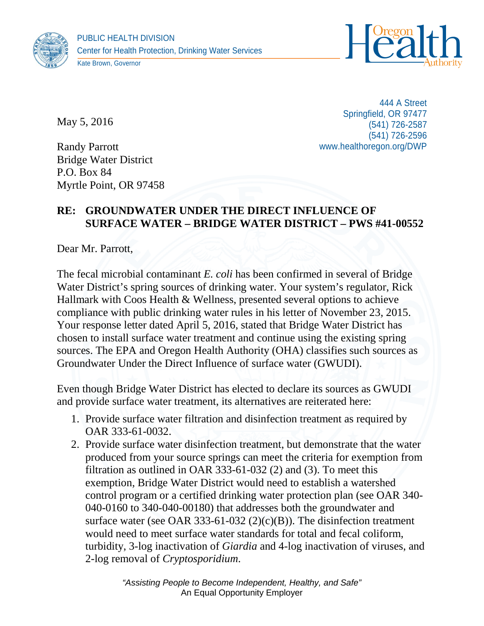



Kate Brown, Governor

May 5, 2016

Randy Parrott Bridge Water District P.O. Box 84 Myrtle Point, OR 97458

444 A Street Springfield, OR 97477 (541) 726-2587 (541) 726-2596 www.healthoregon.org/DWP

## **RE: GROUNDWATER UNDER THE DIRECT INFLUENCE OF SURFACE WATER – BRIDGE WATER DISTRICT – PWS #41-00552**

Dear Mr. Parrott,

The fecal microbial contaminant *E. coli* has been confirmed in several of Bridge Water District's spring sources of drinking water. Your system's regulator, Rick Hallmark with Coos Health & Wellness, presented several options to achieve compliance with public drinking water rules in his letter of November 23, 2015. Your response letter dated April 5, 2016, stated that Bridge Water District has chosen to install surface water treatment and continue using the existing spring sources. The EPA and Oregon Health Authority (OHA) classifies such sources as Groundwater Under the Direct Influence of surface water (GWUDI).

Even though Bridge Water District has elected to declare its sources as GWUDI and provide surface water treatment, its alternatives are reiterated here:

- 1. Provide surface water filtration and disinfection treatment as required by OAR 333-61-0032.
- 2. Provide surface water disinfection treatment, but demonstrate that the water produced from your source springs can meet the criteria for exemption from filtration as outlined in OAR 333-61-032 (2) and (3). To meet this exemption, Bridge Water District would need to establish a watershed control program or a certified drinking water protection plan (see OAR 340- 040-0160 to 340-040-00180) that addresses both the groundwater and surface water (see OAR 333-61-032  $(2)(c)(B)$ ). The disinfection treatment would need to meet surface water standards for total and fecal coliform, turbidity, 3-log inactivation of *Giardia* and 4-log inactivation of viruses, and 2-log removal of *Cryptosporidium*.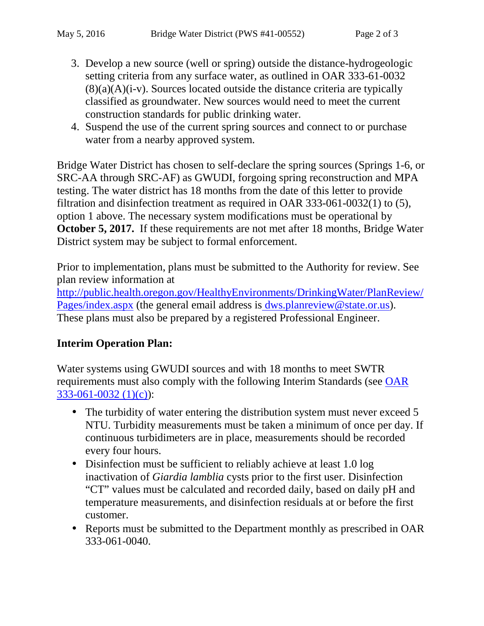- 3. Develop a new source (well or spring) outside the distance-hydrogeologic setting criteria from any surface water, as outlined in OAR 333-61-0032  $(8)(a)(A)(i-v)$ . Sources located outside the distance criteria are typically classified as groundwater. New sources would need to meet the current construction standards for public drinking water.
- 4. Suspend the use of the current spring sources and connect to or purchase water from a nearby approved system.

Bridge Water District has chosen to self-declare the spring sources (Springs 1-6, or SRC-AA through SRC-AF) as GWUDI, forgoing spring reconstruction and MPA testing. The water district has 18 months from the date of this letter to provide filtration and disinfection treatment as required in OAR 333-061-0032(1) to (5), option 1 above. The necessary system modifications must be operational by **October 5, 2017.** If these requirements are not met after 18 months, Bridge Water District system may be subject to formal enforcement.

Prior to implementation, plans must be submitted to the Authority for review. See plan review information at

http://public.health.oregon.gov/HealthyEnvironments/DrinkingWater/PlanReview/ Pages/index.aspx (the general email address is dws.planreview@state.or.us). These plans must also be prepared by a registered Professional Engineer.

## **Interim Operation Plan:**

Water systems using GWUDI sources and with 18 months to meet SWTR requirements must also comply with the following Interim Standards (see OAR 333-061-0032 (1)(c)):

- The turbidity of water entering the distribution system must never exceed 5 NTU. Turbidity measurements must be taken a minimum of once per day. If continuous turbidimeters are in place, measurements should be recorded every four hours.
- Disinfection must be sufficient to reliably achieve at least 1.0 log inactivation of *Giardia lamblia* cysts prior to the first user. Disinfection "CT" values must be calculated and recorded daily, based on daily pH and temperature measurements, and disinfection residuals at or before the first customer.
- Reports must be submitted to the Department monthly as prescribed in OAR 333-061-0040.